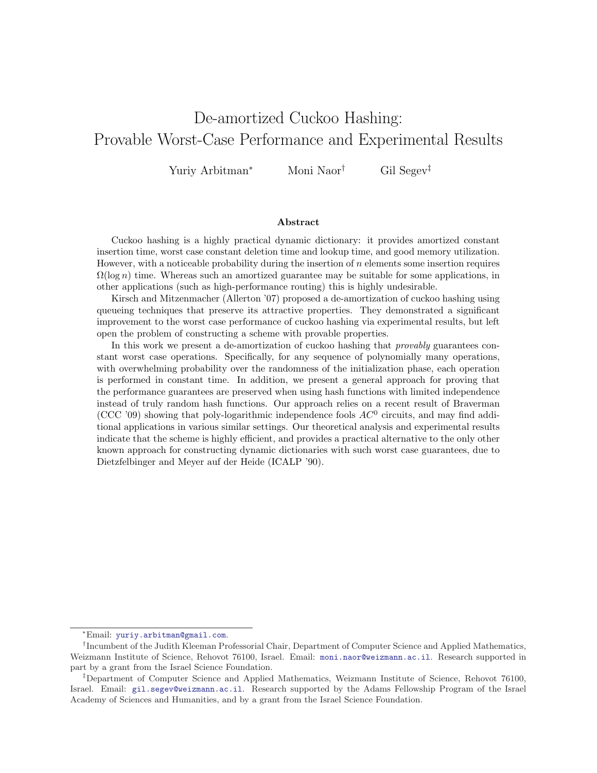# De-amortized Cuckoo Hashing: Provable Worst-Case Performance and Experimental Results

Yuriy Arbitman<sup>∗</sup> Moni Naor† Gil Segev‡

#### Abstract

Cuckoo hashing is a highly practical dynamic dictionary: it provides amortized constant insertion time, worst case constant deletion time and lookup time, and good memory utilization. However, with a noticeable probability during the insertion of  $n$  elements some insertion requires  $\Omega(\log n)$  time. Whereas such an amortized guarantee may be suitable for some applications, in other applications (such as high-performance routing) this is highly undesirable.

Kirsch and Mitzenmacher (Allerton '07) proposed a de-amortization of cuckoo hashing using queueing techniques that preserve its attractive properties. They demonstrated a significant improvement to the worst case performance of cuckoo hashing via experimental results, but left open the problem of constructing a scheme with provable properties.

In this work we present a de-amortization of cuckoo hashing that *provably* guarantees constant worst case operations. Specifically, for any sequence of polynomially many operations, with overwhelming probability over the randomness of the initialization phase, each operation is performed in constant time. In addition, we present a general approach for proving that the performance guarantees are preserved when using hash functions with limited independence instead of truly random hash functions. Our approach relies on a recent result of Braverman (CCC '09) showing that poly-logarithmic independence fools  $AC^0$  circuits, and may find additional applications in various similar settings. Our theoretical analysis and experimental results indicate that the scheme is highly efficient, and provides a practical alternative to the only other known approach for constructing dynamic dictionaries with such worst case guarantees, due to Dietzfelbinger and Meyer auf der Heide (ICALP '90).

<sup>∗</sup>Email: [yuriy.arbitman@gmail.com](mailto:yuriy.arbitman@gmail.com).

<sup>&</sup>lt;sup>†</sup> Incumbent of the Judith Kleeman Professorial Chair, Department of Computer Science and Applied Mathematics, Weizmann Institute of Science, Rehovot 76100, Israel. Email: [moni.naor@weizmann.ac.il](mailto:moni.naor@weizmann.ac.il). Research supported in part by a grant from the Israel Science Foundation.

<sup>‡</sup>Department of Computer Science and Applied Mathematics, Weizmann Institute of Science, Rehovot 76100, Israel. Email: [gil.segev@weizmann.ac.il](mailto:gil.segev@weizmann.ac.il). Research supported by the Adams Fellowship Program of the Israel Academy of Sciences and Humanities, and by a grant from the Israel Science Foundation.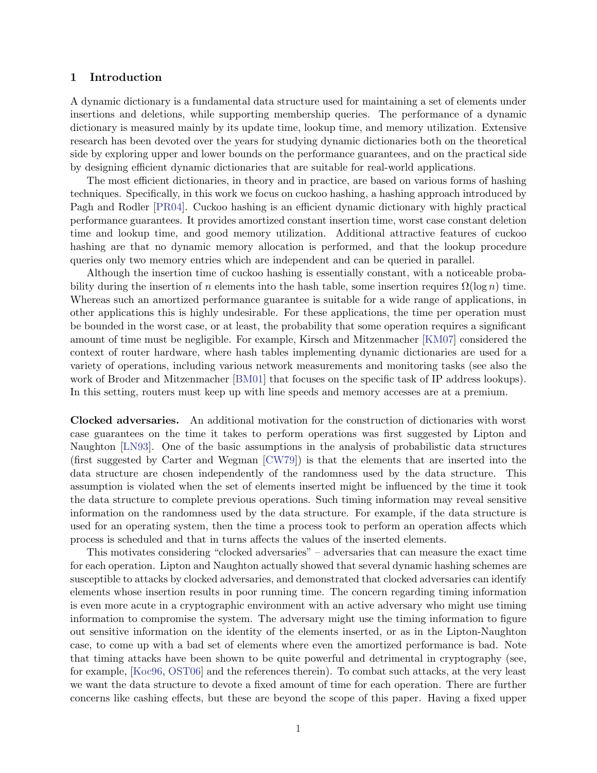#### <span id="page-1-1"></span><span id="page-1-0"></span>1 Introduction

A dynamic dictionary is a fundamental data structure used for maintaining a set of elements under insertions and deletions, while supporting membership queries. The performance of a dynamic dictionary is measured mainly by its update time, lookup time, and memory utilization. Extensive research has been devoted over the years for studying dynamic dictionaries both on the theoretical side by exploring upper and lower bounds on the performance guarantees, and on the practical side by designing efficient dynamic dictionaries that are suitable for real-world applications.

The most efficient dictionaries, in theory and in practice, are based on various forms of hashing techniques. Specifically, in this work we focus on cuckoo hashing, a hashing approach introduced by Pagh and Rodler [\[PR04\]](#page-22-0). Cuckoo hashing is an efficient dynamic dictionary with highly practical performance guarantees. It provides amortized constant insertion time, worst case constant deletion time and lookup time, and good memory utilization. Additional attractive features of cuckoo hashing are that no dynamic memory allocation is performed, and that the lookup procedure queries only two memory entries which are independent and can be queried in parallel.

Although the insertion time of cuckoo hashing is essentially constant, with a noticeable probability during the insertion of n elements into the hash table, some insertion requires  $\Omega(\log n)$  time. Whereas such an amortized performance guarantee is suitable for a wide range of applications, in other applications this is highly undesirable. For these applications, the time per operation must be bounded in the worst case, or at least, the probability that some operation requires a significant amount of time must be negligible. For example, Kirsch and Mitzenmacher [\[KM07\]](#page-21-0) considered the context of router hardware, where hash tables implementing dynamic dictionaries are used for a variety of operations, including various network measurements and monitoring tasks (see also the work of Broder and Mitzenmacher [\[BM01\]](#page-20-0) that focuses on the specific task of IP address lookups). In this setting, routers must keep up with line speeds and memory accesses are at a premium.

Clocked adversaries. An additional motivation for the construction of dictionaries with worst case guarantees on the time it takes to perform operations was first suggested by Lipton and Naughton [\[LN93\]](#page-21-1). One of the basic assumptions in the analysis of probabilistic data structures (first suggested by Carter and Wegman [\[CW79\]](#page-20-1)) is that the elements that are inserted into the data structure are chosen independently of the randomness used by the data structure. This assumption is violated when the set of elements inserted might be influenced by the time it took the data structure to complete previous operations. Such timing information may reveal sensitive information on the randomness used by the data structure. For example, if the data structure is used for an operating system, then the time a process took to perform an operation affects which process is scheduled and that in turns affects the values of the inserted elements.

This motivates considering "clocked adversaries" – adversaries that can measure the exact time for each operation. Lipton and Naughton actually showed that several dynamic hashing schemes are susceptible to attacks by clocked adversaries, and demonstrated that clocked adversaries can identify elements whose insertion results in poor running time. The concern regarding timing information is even more acute in a cryptographic environment with an active adversary who might use timing information to compromise the system. The adversary might use the timing information to figure out sensitive information on the identity of the elements inserted, or as in the Lipton-Naughton case, to come up with a bad set of elements where even the amortized performance is bad. Note that timing attacks have been shown to be quite powerful and detrimental in cryptography (see, for example, [\[Koc96,](#page-21-2) [OST06\]](#page-22-1) and the references therein). To combat such attacks, at the very least we want the data structure to devote a fixed amount of time for each operation. There are further concerns like cashing effects, but these are beyond the scope of this paper. Having a fixed upper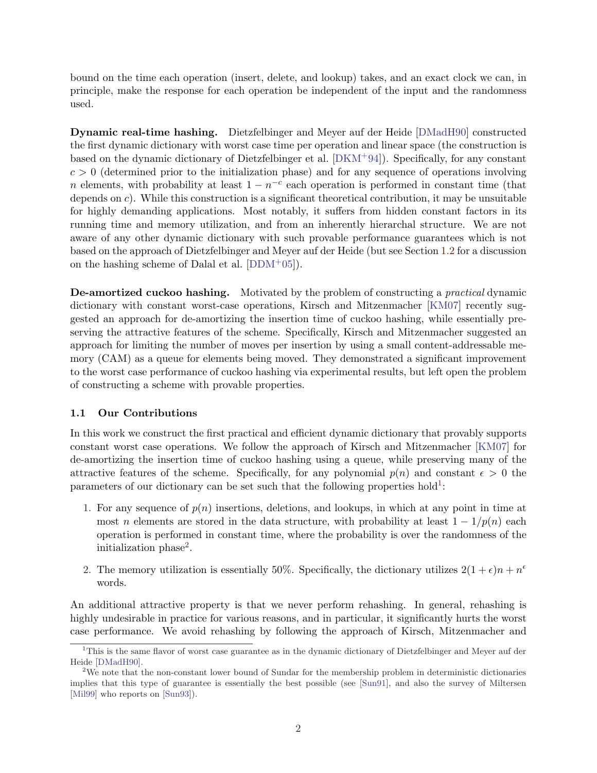<span id="page-2-2"></span>bound on the time each operation (insert, delete, and lookup) takes, and an exact clock we can, in principle, make the response for each operation be independent of the input and the randomness used.

Dynamic real-time hashing. Dietzfelbinger and Meyer auf der Heide [\[DMadH90\]](#page-21-3) constructed the first dynamic dictionary with worst case time per operation and linear space (the construction is based on the dynamic dictionary of Dietzfelbinger et al. [\[DKM](#page-21-4)+94]). Specifically, for any constant  $c > 0$  (determined prior to the initialization phase) and for any sequence of operations involving n elements, with probability at least  $1 - n^{-c}$  each operation is performed in constant time (that depends on  $c$ ). While this construction is a significant theoretical contribution, it may be unsuitable for highly demanding applications. Most notably, it suffers from hidden constant factors in its running time and memory utilization, and from an inherently hierarchal structure. We are not aware of any other dynamic dictionary with such provable performance guarantees which is not based on the approach of Dietzfelbinger and Meyer auf der Heide (but see Section [1.2](#page-3-0) for a discussion on the hashing scheme of Dalal et al.  $[DDM<sup>+</sup>05]$  $[DDM<sup>+</sup>05]$ .

De-amortized cuckoo hashing. Motivated by the problem of constructing a *practical* dynamic dictionary with constant worst-case operations, Kirsch and Mitzenmacher [\[KM07\]](#page-21-0) recently suggested an approach for de-amortizing the insertion time of cuckoo hashing, while essentially preserving the attractive features of the scheme. Specifically, Kirsch and Mitzenmacher suggested an approach for limiting the number of moves per insertion by using a small content-addressable memory (CAM) as a queue for elements being moved. They demonstrated a significant improvement to the worst case performance of cuckoo hashing via experimental results, but left open the problem of constructing a scheme with provable properties.

### 1.1 Our Contributions

In this work we construct the first practical and efficient dynamic dictionary that provably supports constant worst case operations. We follow the approach of Kirsch and Mitzenmacher [\[KM07\]](#page-21-0) for de-amortizing the insertion time of cuckoo hashing using a queue, while preserving many of the attractive features of the scheme. Specifically, for any polynomial  $p(n)$  and constant  $\epsilon > 0$  the parameters of our dictionary can be set such that the following properties  $hold<sup>1</sup>$  $hold<sup>1</sup>$  $hold<sup>1</sup>$ :

- 1. For any sequence of  $p(n)$  insertions, deletions, and lookups, in which at any point in time at most n elements are stored in the data structure, with probability at least  $1 - 1/p(n)$  each operation is performed in constant time, where the probability is over the randomness of the initialization phase<sup>[2](#page-2-1)</sup>.
- 2. The memory utilization is essentially 50%. Specifically, the dictionary utilizes  $2(1 + \epsilon)n + n^{\epsilon}$ words.

An additional attractive property is that we never perform rehashing. In general, rehashing is highly undesirable in practice for various reasons, and in particular, it significantly hurts the worst case performance. We avoid rehashing by following the approach of Kirsch, Mitzenmacher and

<span id="page-2-0"></span><sup>&</sup>lt;sup>1</sup>This is the same flavor of worst case guarantee as in the dynamic dictionary of Dietzfelbinger and Meyer auf der Heide [\[DMadH90\]](#page-21-3).

<span id="page-2-1"></span><sup>2</sup>We note that the non-constant lower bound of Sundar for the membership problem in deterministic dictionaries implies that this type of guarantee is essentially the best possible (see [\[Sun91\]](#page-22-2), and also the survey of Miltersen [\[Mil99\]](#page-21-5) who reports on [\[Sun93\]](#page-22-3)).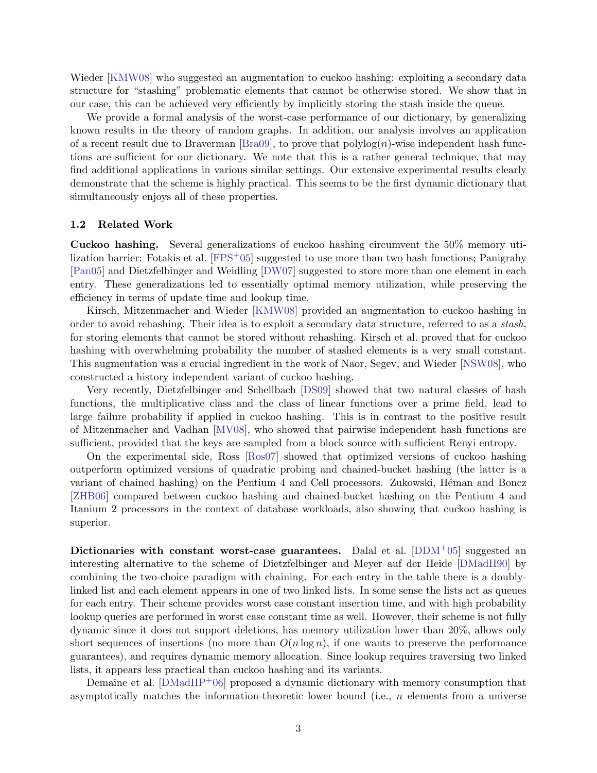<span id="page-3-1"></span>Wieder [\[KMW08\]](#page-21-6) who suggested an augmentation to cuckoo hashing: exploiting a secondary data structure for "stashing" problematic elements that cannot be otherwise stored. We show that in our case, this can be achieved very efficiently by implicitly storing the stash inside the queue.

We provide a formal analysis of the worst-case performance of our dictionary, by generalizing known results in the theory of random graphs. In addition, our analysis involves an application of a recent result due to Braverman [\[Bra09\]](#page-20-3), to prove that  $\text{polylog}(n)$ -wise independent hash functions are sufficient for our dictionary. We note that this is a rather general technique, that may find additional applications in various similar settings. Our extensive experimental results clearly demonstrate that the scheme is highly practical. This seems to be the first dynamic dictionary that simultaneously enjoys all of these properties.

#### <span id="page-3-0"></span>1.2 Related Work

Cuckoo hashing. Several generalizations of cuckoo hashing circumvent the 50% memory utilization barrier: Fotakis et al.  $[FPS+05]$  $[FPS+05]$  suggested to use more than two hash functions; Panigrahy [\[Pan05\]](#page-22-4) and Dietzfelbinger and Weidling [\[DW07\]](#page-21-8) suggested to store more than one element in each entry. These generalizations led to essentially optimal memory utilization, while preserving the efficiency in terms of update time and lookup time.

Kirsch, Mitzenmacher and Wieder [\[KMW08\]](#page-21-6) provided an augmentation to cuckoo hashing in order to avoid rehashing. Their idea is to exploit a secondary data structure, referred to as a stash, for storing elements that cannot be stored without rehashing. Kirsch et al. proved that for cuckoo hashing with overwhelming probability the number of stashed elements is a very small constant. This augmentation was a crucial ingredient in the work of Naor, Segev, and Wieder [\[NSW08\]](#page-22-5), who constructed a history independent variant of cuckoo hashing.

Very recently, Dietzfelbinger and Schellbach [\[DS09\]](#page-21-9) showed that two natural classes of hash functions, the multiplicative class and the class of linear functions over a prime field, lead to large failure probability if applied in cuckoo hashing. This is in contrast to the positive result of Mitzenmacher and Vadhan [\[MV08\]](#page-22-6), who showed that pairwise independent hash functions are sufficient, provided that the keys are sampled from a block source with sufficient Renyi entropy.

On the experimental side, Ross [\[Ros07\]](#page-22-7) showed that optimized versions of cuckoo hashing outperform optimized versions of quadratic probing and chained-bucket hashing (the latter is a variant of chained hashing) on the Pentium 4 and Cell processors. Zukowski, Héman and Boncz [\[ZHB06\]](#page-22-8) compared between cuckoo hashing and chained-bucket hashing on the Pentium 4 and Itanium 2 processors in the context of database workloads, also showing that cuckoo hashing is superior.

Dictionaries with constant worst-case guarantees. Dalal et al.  $[DDM+05]$  $[DDM+05]$  suggested an interesting alternative to the scheme of Dietzfelbinger and Meyer auf der Heide [\[DMadH90\]](#page-21-3) by combining the two-choice paradigm with chaining. For each entry in the table there is a doublylinked list and each element appears in one of two linked lists. In some sense the lists act as queues for each entry. Their scheme provides worst case constant insertion time, and with high probability lookup queries are performed in worst case constant time as well. However, their scheme is not fully dynamic since it does not support deletions, has memory utilization lower than 20%, allows only short sequences of insertions (no more than  $O(n \log n)$ , if one wants to preserve the performance guarantees), and requires dynamic memory allocation. Since lookup requires traversing two linked lists, it appears less practical than cuckoo hashing and its variants.

Demaine et al.  $[DM \text{ad}HP^+06]$  proposed a dynamic dictionary with memory consumption that asymptotically matches the information-theoretic lower bound (i.e.,  $n$  elements from a universe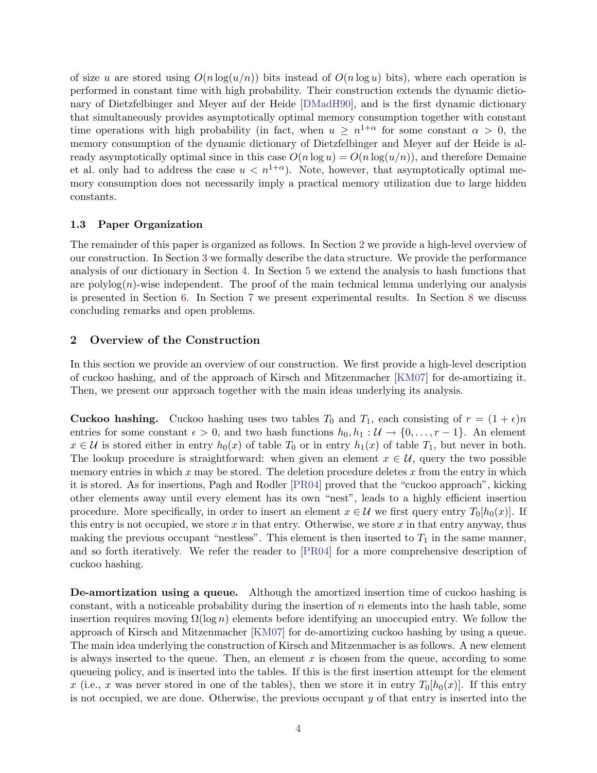<span id="page-4-1"></span>of size u are stored using  $O(n \log(u/n))$  bits instead of  $O(n \log u)$  bits), where each operation is performed in constant time with high probability. Their construction extends the dynamic dictionary of Dietzfelbinger and Meyer auf der Heide [\[DMadH90\]](#page-21-3), and is the first dynamic dictionary that simultaneously provides asymptotically optimal memory consumption together with constant time operations with high probability (in fact, when  $u \geq n^{1+\alpha}$  for some constant  $\alpha > 0$ , the memory consumption of the dynamic dictionary of Dietzfelbinger and Meyer auf der Heide is already asymptotically optimal since in this case  $O(n \log u) = O(n \log(u/n))$ , and therefore Demaine et al. only had to address the case  $u < n^{1+\alpha}$ ). Note, however, that asymptotically optimal memory consumption does not necessarily imply a practical memory utilization due to large hidden constants.

### 1.3 Paper Organization

The remainder of this paper is organized as follows. In Section [2](#page-4-0) we provide a high-level overview of our construction. In Section [3](#page-7-0) we formally describe the data structure. We provide the performance analysis of our dictionary in Section [4.](#page-10-0) In Section [5](#page-12-0) we extend the analysis to hash functions that are  $\text{polylog}(n)$ -wise independent. The proof of the main technical lemma underlying our analysis is presented in Section [6.](#page-13-0) In Section [7](#page-17-0) we present experimental results. In Section [8](#page-19-0) we discuss concluding remarks and open problems.

## <span id="page-4-0"></span>2 Overview of the Construction

In this section we provide an overview of our construction. We first provide a high-level description of cuckoo hashing, and of the approach of Kirsch and Mitzenmacher [\[KM07\]](#page-21-0) for de-amortizing it. Then, we present our approach together with the main ideas underlying its analysis.

**Cuckoo hashing.** Cuckoo hashing uses two tables  $T_0$  and  $T_1$ , each consisting of  $r = (1 + \epsilon)n$ entries for some constant  $\epsilon > 0$ , and two hash functions  $h_0, h_1 : \mathcal{U} \to \{0, \ldots, r-1\}$ . An element  $x \in \mathcal{U}$  is stored either in entry  $h_0(x)$  of table  $T_0$  or in entry  $h_1(x)$  of table  $T_1$ , but never in both. The lookup procedure is straightforward: when given an element  $x \in \mathcal{U}$ , query the two possible memory entries in which  $x$  may be stored. The deletion procedure deletes  $x$  from the entry in which it is stored. As for insertions, Pagh and Rodler [\[PR04\]](#page-22-0) proved that the "cuckoo approach", kicking other elements away until every element has its own "nest", leads to a highly efficient insertion procedure. More specifically, in order to insert an element  $x \in \mathcal{U}$  we first query entry  $T_0[h_0(x)]$ . If this entry is not occupied, we store  $x$  in that entry. Otherwise, we store  $x$  in that entry anyway, thus making the previous occupant "nestless". This element is then inserted to  $T_1$  in the same manner, and so forth iteratively. We refer the reader to [\[PR04\]](#page-22-0) for a more comprehensive description of cuckoo hashing.

De-amortization using a queue. Although the amortized insertion time of cuckoo hashing is constant, with a noticeable probability during the insertion of  $n$  elements into the hash table, some insertion requires moving  $\Omega(\log n)$  elements before identifying an unoccupied entry. We follow the approach of Kirsch and Mitzenmacher [\[KM07\]](#page-21-0) for de-amortizing cuckoo hashing by using a queue. The main idea underlying the construction of Kirsch and Mitzenmacher is as follows. A new element is always inserted to the queue. Then, an element  $x$  is chosen from the queue, according to some queueing policy, and is inserted into the tables. If this is the first insertion attempt for the element x (i.e., x was never stored in one of the tables), then we store it in entry  $T_0[h_0(x)]$ . If this entry is not occupied, we are done. Otherwise, the previous occupant  $y$  of that entry is inserted into the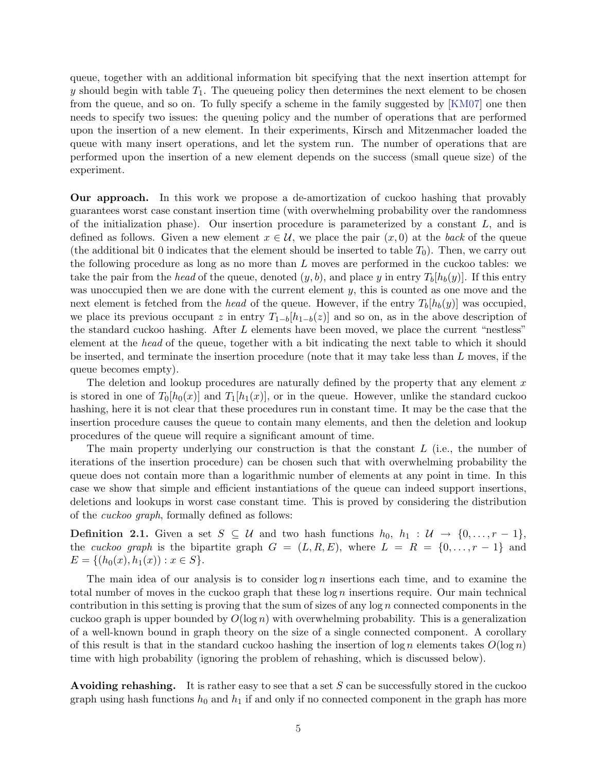<span id="page-5-1"></span>queue, together with an additional information bit specifying that the next insertion attempt for y should begin with table  $T_1$ . The queueing policy then determines the next element to be chosen from the queue, and so on. To fully specify a scheme in the family suggested by [\[KM07\]](#page-21-0) one then needs to specify two issues: the queuing policy and the number of operations that are performed upon the insertion of a new element. In their experiments, Kirsch and Mitzenmacher loaded the queue with many insert operations, and let the system run. The number of operations that are performed upon the insertion of a new element depends on the success (small queue size) of the experiment.

Our approach. In this work we propose a de-amortization of cuckoo hashing that provably guarantees worst case constant insertion time (with overwhelming probability over the randomness of the initialization phase). Our insertion procedure is parameterized by a constant  $L$ , and is defined as follows. Given a new element  $x \in \mathcal{U}$ , we place the pair  $(x, 0)$  at the back of the queue (the additional bit 0 indicates that the element should be inserted to table  $T_0$ ). Then, we carry out the following procedure as long as no more than L moves are performed in the cuckoo tables: we take the pair from the head of the queue, denoted  $(y, b)$ , and place y in entry  $T_b[h_b(y)]$ . If this entry was unoccupied then we are done with the current element y, this is counted as one move and the next element is fetched from the head of the queue. However, if the entry  $T_b[h_b(y)]$  was occupied, we place its previous occupant z in entry  $T_{1-b}[h_{1-b}(z)]$  and so on, as in the above description of the standard cuckoo hashing. After L elements have been moved, we place the current "nestless" element at the head of the queue, together with a bit indicating the next table to which it should be inserted, and terminate the insertion procedure (note that it may take less than L moves, if the queue becomes empty).

The deletion and lookup procedures are naturally defined by the property that any element  $x$ is stored in one of  $T_0[h_0(x)]$  and  $T_1[h_1(x)]$ , or in the queue. However, unlike the standard cuckoo hashing, here it is not clear that these procedures run in constant time. It may be the case that the insertion procedure causes the queue to contain many elements, and then the deletion and lookup procedures of the queue will require a significant amount of time.

The main property underlying our construction is that the constant  $L$  (i.e., the number of iterations of the insertion procedure) can be chosen such that with overwhelming probability the queue does not contain more than a logarithmic number of elements at any point in time. In this case we show that simple and efficient instantiations of the queue can indeed support insertions, deletions and lookups in worst case constant time. This is proved by considering the distribution of the cuckoo graph, formally defined as follows:

<span id="page-5-0"></span>**Definition 2.1.** Given a set  $S \subseteq \mathcal{U}$  and two hash functions  $h_0, h_1 : \mathcal{U} \rightarrow \{0, \ldots, r-1\}$ , the cuckoo graph is the bipartite graph  $G = (L, R, E)$ , where  $L = R = \{0, \ldots, r - 1\}$  and  $E = \{(h_0(x), h_1(x)) : x \in S\}.$ 

The main idea of our analysis is to consider  $\log n$  insertions each time, and to examine the total number of moves in the cuckoo graph that these  $\log n$  insertions require. Our main technical contribution in this setting is proving that the sum of sizes of any  $\log n$  connected components in the cuckoo graph is upper bounded by  $O(\log n)$  with overwhelming probability. This is a generalization of a well-known bound in graph theory on the size of a single connected component. A corollary of this result is that in the standard cuckoo hashing the insertion of log n elements takes  $O(\log n)$ time with high probability (ignoring the problem of rehashing, which is discussed below).

Avoiding rehashing. It is rather easy to see that a set  $S$  can be successfully stored in the cuckoo graph using hash functions  $h_0$  and  $h_1$  if and only if no connected component in the graph has more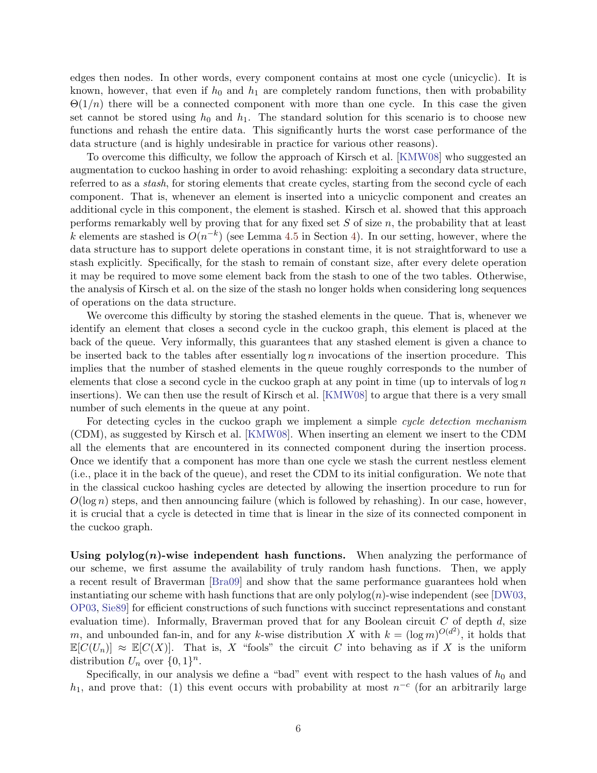<span id="page-6-0"></span>edges then nodes. In other words, every component contains at most one cycle (unicyclic). It is known, however, that even if  $h_0$  and  $h_1$  are completely random functions, then with probability  $\Theta(1/n)$  there will be a connected component with more than one cycle. In this case the given set cannot be stored using  $h_0$  and  $h_1$ . The standard solution for this scenario is to choose new functions and rehash the entire data. This significantly hurts the worst case performance of the data structure (and is highly undesirable in practice for various other reasons).

To overcome this difficulty, we follow the approach of Kirsch et al. [\[KMW08\]](#page-21-6) who suggested an augmentation to cuckoo hashing in order to avoid rehashing: exploiting a secondary data structure, referred to as a stash, for storing elements that create cycles, starting from the second cycle of each component. That is, whenever an element is inserted into a unicyclic component and creates an additional cycle in this component, the element is stashed. Kirsch et al. showed that this approach performs remarkably well by proving that for any fixed set  $S$  of size  $n$ , the probability that at least k elements are stashed is  $O(n^{-k})$  (see Lemma [4.5](#page-11-0) in Section [4\)](#page-10-0). In our setting, however, where the data structure has to support delete operations in constant time, it is not straightforward to use a stash explicitly. Specifically, for the stash to remain of constant size, after every delete operation it may be required to move some element back from the stash to one of the two tables. Otherwise, the analysis of Kirsch et al. on the size of the stash no longer holds when considering long sequences of operations on the data structure.

We overcome this difficulty by storing the stashed elements in the queue. That is, whenever we identify an element that closes a second cycle in the cuckoo graph, this element is placed at the back of the queue. Very informally, this guarantees that any stashed element is given a chance to be inserted back to the tables after essentially  $\log n$  invocations of the insertion procedure. This implies that the number of stashed elements in the queue roughly corresponds to the number of elements that close a second cycle in the cuckoo graph at any point in time (up to intervals of  $\log n$ ) insertions). We can then use the result of Kirsch et al. [\[KMW08\]](#page-21-6) to argue that there is a very small number of such elements in the queue at any point.

For detecting cycles in the cuckoo graph we implement a simple cycle detection mechanism (CDM), as suggested by Kirsch et al. [\[KMW08\]](#page-21-6). When inserting an element we insert to the CDM all the elements that are encountered in its connected component during the insertion process. Once we identify that a component has more than one cycle we stash the current nestless element (i.e., place it in the back of the queue), and reset the CDM to its initial configuration. We note that in the classical cuckoo hashing cycles are detected by allowing the insertion procedure to run for  $O(\log n)$  steps, and then announcing failure (which is followed by rehashing). In our case, however, it is crucial that a cycle is detected in time that is linear in the size of its connected component in the cuckoo graph.

Using  $\text{polylog}(n)$ -wise independent hash functions. When analyzing the performance of our scheme, we first assume the availability of truly random hash functions. Then, we apply a recent result of Braverman [\[Bra09\]](#page-20-3) and show that the same performance guarantees hold when instantiating our scheme with hash functions that are only  $\text{polylog}(n)$ -wise independent (see [\[DW03,](#page-21-11) [OP03,](#page-22-9) [Sie89\]](#page-22-10) for efficient constructions of such functions with succinct representations and constant evaluation time). Informally, Braverman proved that for any Boolean circuit  $C$  of depth  $d$ , size m, and unbounded fan-in, and for any k-wise distribution X with  $k = (\log m)^{O(d^2)}$ , it holds that  $\mathbb{E}[C(U_n)] \approx \mathbb{E}[C(X)]$ . That is, X "fools" the circuit C into behaving as if X is the uniform distribution  $U_n$  over  $\{0,1\}^n$ .

Specifically, in our analysis we define a "bad" event with respect to the hash values of  $h_0$  and  $h_1$ , and prove that: (1) this event occurs with probability at most  $n^{-c}$  (for an arbitrarily large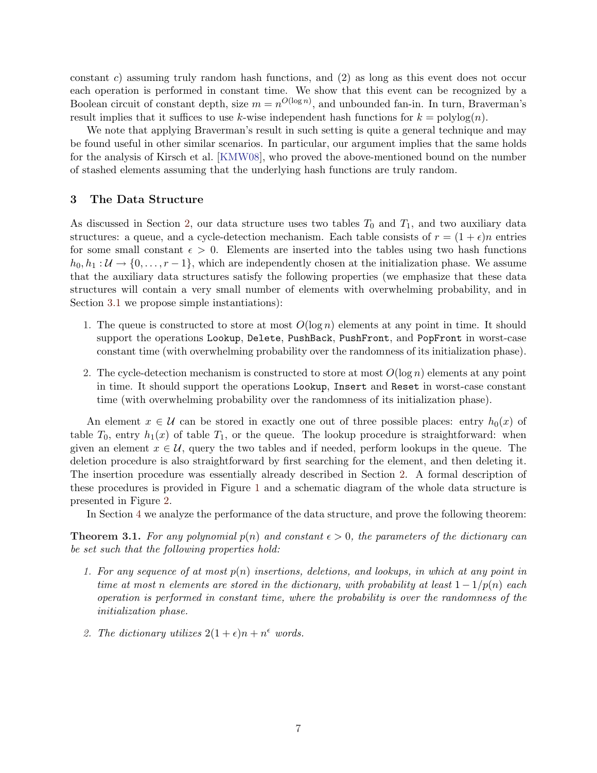<span id="page-7-2"></span>constant c) assuming truly random hash functions, and  $(2)$  as long as this event does not occur each operation is performed in constant time. We show that this event can be recognized by a Boolean circuit of constant depth, size  $m = n^{O(\log n)}$ , and unbounded fan-in. In turn, Braverman's result implies that it suffices to use k-wise independent hash functions for  $k = \text{polylog}(n)$ .

We note that applying Braverman's result in such setting is quite a general technique and may be found useful in other similar scenarios. In particular, our argument implies that the same holds for the analysis of Kirsch et al. [\[KMW08\]](#page-21-6), who proved the above-mentioned bound on the number of stashed elements assuming that the underlying hash functions are truly random.

#### <span id="page-7-0"></span>3 The Data Structure

As discussed in Section [2,](#page-4-0) our data structure uses two tables  $T_0$  and  $T_1$ , and two auxiliary data structures: a queue, and a cycle-detection mechanism. Each table consists of  $r = (1 + \epsilon)n$  entries for some small constant  $\epsilon > 0$ . Elements are inserted into the tables using two hash functions  $h_0, h_1: \mathcal{U} \to \{0, \ldots, r-1\}$ , which are independently chosen at the initialization phase. We assume that the auxiliary data structures satisfy the following properties (we emphasize that these data structures will contain a very small number of elements with overwhelming probability, and in Section [3.1](#page-9-0) we propose simple instantiations):

- 1. The queue is constructed to store at most  $O(\log n)$  elements at any point in time. It should support the operations Lookup, Delete, PushBack, PushFront, and PopFront in worst-case constant time (with overwhelming probability over the randomness of its initialization phase).
- 2. The cycle-detection mechanism is constructed to store at most  $O(\log n)$  elements at any point in time. It should support the operations Lookup, Insert and Reset in worst-case constant time (with overwhelming probability over the randomness of its initialization phase).

An element  $x \in \mathcal{U}$  can be stored in exactly one out of three possible places: entry  $h_0(x)$  of table  $T_0$ , entry  $h_1(x)$  of table  $T_1$ , or the queue. The lookup procedure is straightforward: when given an element  $x \in \mathcal{U}$ , query the two tables and if needed, perform lookups in the queue. The deletion procedure is also straightforward by first searching for the element, and then deleting it. The insertion procedure was essentially already described in Section [2.](#page-4-0) A formal description of these procedures is provided in Figure 1 and a schematic diagram of the whole data structure is presented in Figure [2.](#page-9-1)

In Section [4](#page-10-0) we analyze the performance of the data structure, and prove the following theorem:

<span id="page-7-1"></span>**Theorem 3.1.** For any polynomial  $p(n)$  and constant  $\epsilon > 0$ , the parameters of the dictionary can be set such that the following properties hold:

- 1. For any sequence of at most  $p(n)$  insertions, deletions, and lookups, in which at any point in time at most n elements are stored in the dictionary, with probability at least  $1 - 1/p(n)$  each operation is performed in constant time, where the probability is over the randomness of the initialization phase.
- 2. The dictionary utilizes  $2(1+\epsilon)n + n^{\epsilon}$  words.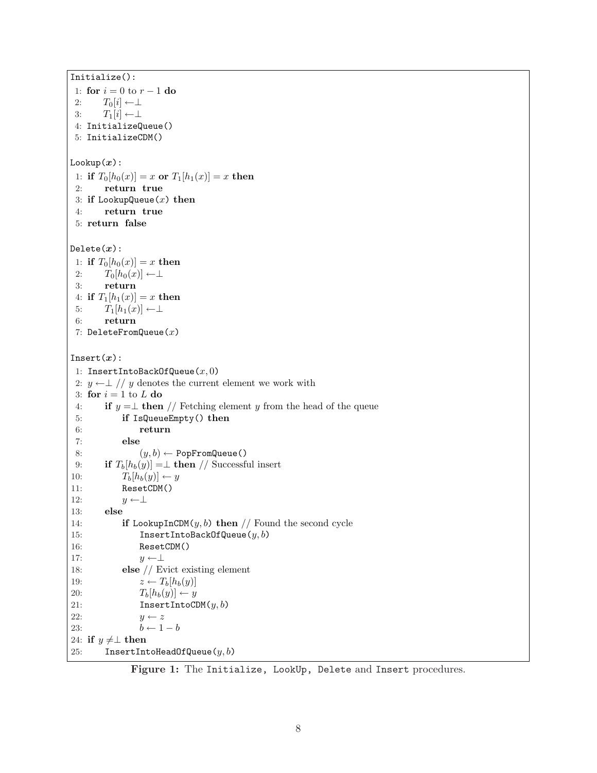Initialize(): 1: for  $i = 0$  to  $r - 1$  do 2:  $T_0[i] \leftarrow \perp$ 3:  $T_1[i] \leftarrow \perp$ 4: InitializeQueue() 5: InitializeCDM()  $\text{Lookup}(x)$ : 1: if  $T_0[h_0(x)] = x$  or  $T_1[h_1(x)] = x$  then 2: return true 3: if LookupQueue $(x)$  then 4: return true 5: return false  $Delete(x):$ 1: if  $T_0[h_0(x)] = x$  then 2:  $T_0[h_0(x)] \leftarrow \perp$ 3: return 4: if  $T_1[h_1(x)] = x$  then 5:  $T_1[h_1(x)] \leftarrow \perp$ 6: return 7: DeleteFromQueue $(x)$  $Insert(x):$ 1: InsertIntoBackOfQueue $(x, 0)$ 2:  $y \leftarrow \perp / y$  denotes the current element we work with 3: for  $i = 1$  to L do 4: if  $y = \perp$  then // Fetching element y from the head of the queue 5: if IsQueueEmpty() then 6: return 7: else 8:  $(y, b) \leftarrow \text{PopFromQueue}()$ 9: **if**  $T_b[h_b(y)] = \perp$  **then** // Successful insert 10:  $T_b[h_b(y)] \leftarrow y$ 11: ResetCDM() 12:  $y \leftarrow \perp$ 13: else 14: **if LookupInCDM** $(y, b)$  then // Found the second cycle 15: **InsertIntoBackOfQueue** $(y, b)$ 16: ResetCDM() 17:  $y \leftarrow \perp$ 18: else // Evict existing element 19:  $z \leftarrow T_b[h_b(y)]$ 20:  $T_b[h_b(y)] \leftarrow y$ 21: InsertIntoCDM $(y, b)$ 22:  $y \leftarrow z$ 23:  $b \leftarrow 1 - b$ 24: if  $y \neq \perp$  then 25: InsertIntoHeadOfQueue $(y, b)$ 

Figure 1: The Initialize, LookUp, Delete and Insert procedures.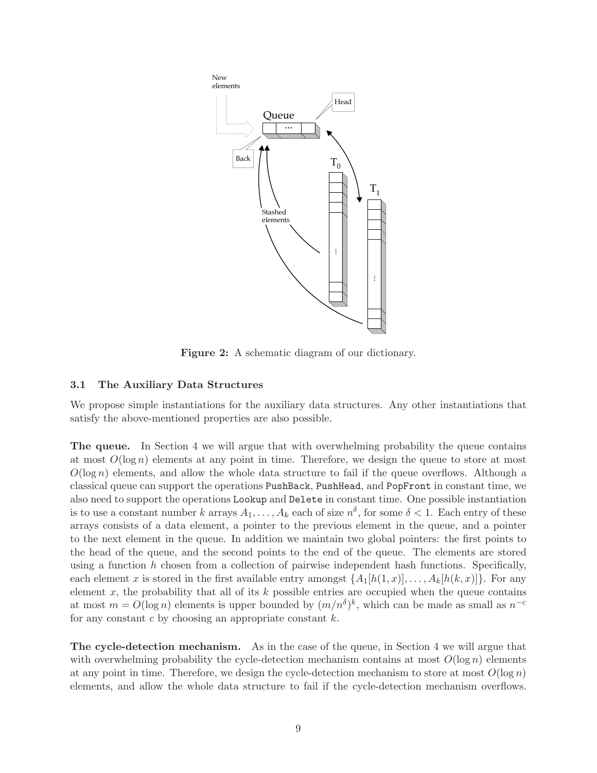<span id="page-9-1"></span>

Figure 2: A schematic diagram of our dictionary.

### <span id="page-9-0"></span>3.1 The Auxiliary Data Structures

We propose simple instantiations for the auxiliary data structures. Any other instantiations that satisfy the above-mentioned properties are also possible.

The queue. In Section [4](#page-10-0) we will argue that with overwhelming probability the queue contains at most  $O(\log n)$  elements at any point in time. Therefore, we design the queue to store at most  $O(\log n)$  elements, and allow the whole data structure to fail if the queue overflows. Although a classical queue can support the operations PushBack, PushHead, and PopFront in constant time, we also need to support the operations Lookup and Delete in constant time. One possible instantiation is to use a constant number k arrays  $A_1, \ldots, A_k$  each of size  $n^{\delta}$ , for some  $\delta < 1$ . Each entry of these arrays consists of a data element, a pointer to the previous element in the queue, and a pointer to the next element in the queue. In addition we maintain two global pointers: the first points to the head of the queue, and the second points to the end of the queue. The elements are stored using a function h chosen from a collection of pairwise independent hash functions. Specifically, each element x is stored in the first available entry amongst  $\{A_1[h(1,x)], \ldots, A_k[h(k,x)]\}$ . For any element x, the probability that all of its  $k$  possible entries are occupied when the queue contains at most  $m = O(\log n)$  elements is upper bounded by  $(m/n^{\delta})^k$ , which can be made as small as  $n^{-c}$ for any constant c by choosing an appropriate constant  $k$ .

The cycle-detection mechanism. As in the case of the queue, in Section [4](#page-10-0) we will argue that with overwhelming probability the cycle-detection mechanism contains at most  $O(\log n)$  elements at any point in time. Therefore, we design the cycle-detection mechanism to store at most  $O(\log n)$ elements, and allow the whole data structure to fail if the cycle-detection mechanism overflows.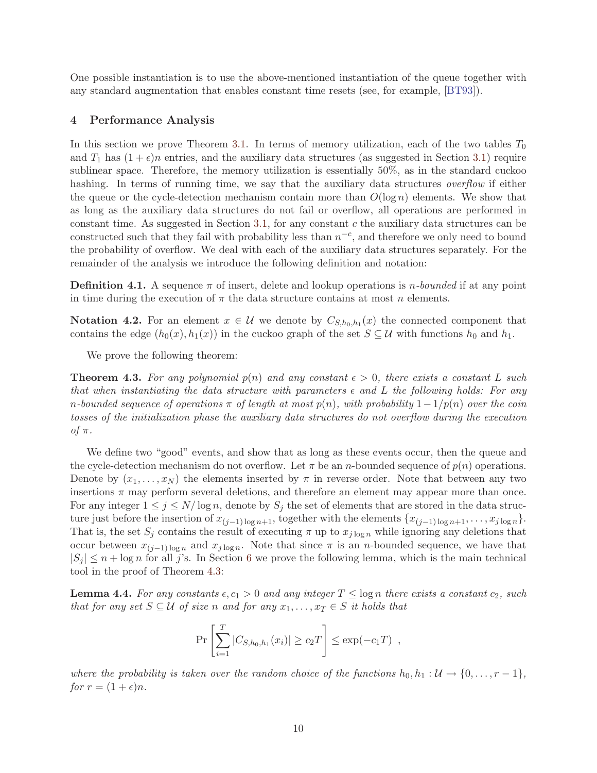<span id="page-10-3"></span>One possible instantiation is to use the above-mentioned instantiation of the queue together with any standard augmentation that enables constant time resets (see, for example, [\[BT93\]](#page-20-4)).

#### <span id="page-10-0"></span>4 Performance Analysis

In this section we prove Theorem [3.1.](#page-7-1) In terms of memory utilization, each of the two tables  $T_0$ and  $T_1$  has  $(1 + \epsilon)n$  entries, and the auxiliary data structures (as suggested in Section [3.1\)](#page-9-0) require sublinear space. Therefore, the memory utilization is essentially 50%, as in the standard cuckoo hashing. In terms of running time, we say that the auxiliary data structures *overflow* if either the queue or the cycle-detection mechanism contain more than  $O(\log n)$  elements. We show that as long as the auxiliary data structures do not fail or overflow, all operations are performed in constant time. As suggested in Section [3.1,](#page-9-0) for any constant  $c$  the auxiliary data structures can be constructed such that they fail with probability less than  $n^{-c}$ , and therefore we only need to bound the probability of overflow. We deal with each of the auxiliary data structures separately. For the remainder of the analysis we introduce the following definition and notation:

**Definition 4.1.** A sequence  $\pi$  of insert, delete and lookup operations is *n*-bounded if at any point in time during the execution of  $\pi$  the data structure contains at most n elements.

**Notation 4.2.** For an element  $x \in \mathcal{U}$  we denote by  $C_{S,h_0,h_1}(x)$  the connected component that contains the edge  $(h_0(x), h_1(x))$  in the cuckoo graph of the set  $S \subseteq U$  with functions  $h_0$  and  $h_1$ .

We prove the following theorem:

<span id="page-10-1"></span>**Theorem 4.3.** For any polynomial  $p(n)$  and any constant  $\epsilon > 0$ , there exists a constant L such that when instantiating the data structure with parameters  $\epsilon$  and L the following holds: For any n-bounded sequence of operations  $\pi$  of length at most p(n), with probability  $1-I/p(n)$  over the coin tosses of the initialization phase the auxiliary data structures do not overflow during the execution of π.

We define two "good" events, and show that as long as these events occur, then the queue and the cycle-detection mechanism do not overflow. Let  $\pi$  be an *n*-bounded sequence of  $p(n)$  operations. Denote by  $(x_1, \ldots, x_N)$  the elements inserted by  $\pi$  in reverse order. Note that between any two insertions  $\pi$  may perform several deletions, and therefore an element may appear more than once. For any integer  $1 \leq j \leq N/\log n$ , denote by  $S_j$  the set of elements that are stored in the data structure just before the insertion of  $x_{(j-1)\log n+1}$ , together with the elements  $\{x_{(j-1)\log n+1}, \ldots, x_{j\log n}\}.$ That is, the set  $S_j$  contains the result of executing  $\pi$  up to  $x_j$  log n while ignoring any deletions that occur between  $x_{(j-1)\log n}$  and  $x_{j\log n}$ . Note that since  $\pi$  is an n-bounded sequence, we have that  $|S_i| \leq n + \log n$  for all j's. In Section [6](#page-13-0) we prove the following lemma, which is the main technical tool in the proof of Theorem [4.3:](#page-10-1)

<span id="page-10-2"></span>**Lemma 4.4.** For any constants  $\epsilon, c_1 > 0$  and any integer  $T \leq \log n$  there exists a constant  $c_2$ , such that for any set  $S \subseteq U$  of size n and for any  $x_1, \ldots, x_T \in S$  it holds that

$$
\Pr\left[\sum_{i=1}^{T} |C_{S,h_0,h_1}(x_i)| \ge c_2 T\right] \le \exp(-c_1 T) ,
$$

where the probability is taken over the random choice of the functions  $h_0, h_1 : U \to \{0, \ldots, r-1\}$ , for  $r = (1 + \epsilon)n$ .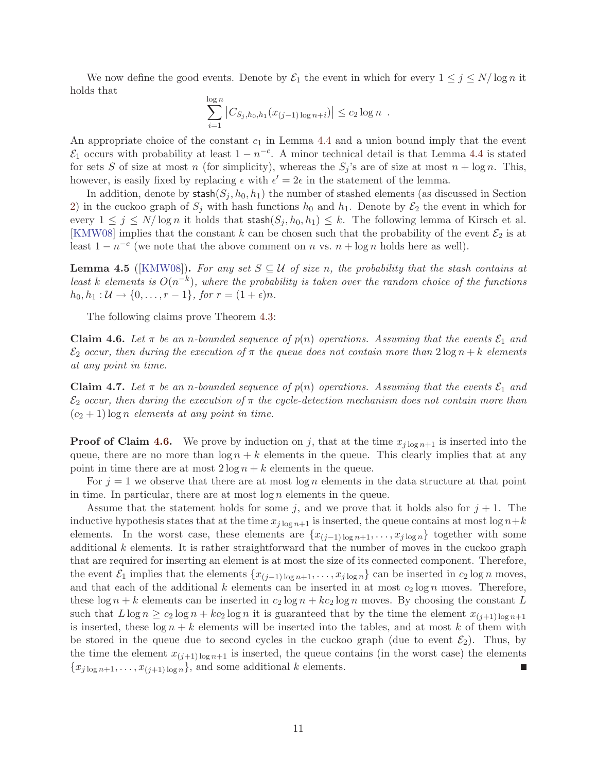<span id="page-11-3"></span>We now define the good events. Denote by  $\mathcal{E}_1$  the event in which for every  $1 \leq j \leq N/\log n$  it holds that

$$
\sum_{i=1}^{\log n} |C_{S_j,h_0,h_1}(x_{(j-1)\log n+i})| \le c_2 \log n.
$$

An appropriate choice of the constant  $c_1$  in Lemma [4.4](#page-10-2) and a union bound imply that the event  $\mathcal{E}_1$  occurs with probability at least  $1 - n^{-c}$ . A minor technical detail is that Lemma [4.4](#page-10-2) is stated for sets S of size at most n (for simplicity), whereas the  $S_j$ 's are of size at most  $n + \log n$ . This, however, is easily fixed by replacing  $\epsilon$  with  $\epsilon' = 2\epsilon$  in the statement of the lemma.

In addition, denote by  $\mathsf{stash}(S_i, h_0, h_1)$  the number of stashed elements (as discussed in Section [2\)](#page-4-0) in the cuckoo graph of  $S_i$  with hash functions  $h_0$  and  $h_1$ . Denote by  $\mathcal{E}_2$  the event in which for every  $1 \leq j \leq N/\log n$  it holds that stash $(S_j, h_0, h_1) \leq k$ . The following lemma of Kirsch et al. [\[KMW08\]](#page-21-6) implies that the constant k can be chosen such that the probability of the event  $\mathcal{E}_2$  is at least  $1 - n^{-c}$  (we note that the above comment on n vs.  $n + \log n$  holds here as well).

<span id="page-11-0"></span>**Lemma 4.5** ([\[KMW08\]](#page-21-6)). For any set  $S \subseteq U$  of size n, the probability that the stash contains at least k elements is  $O(n^{-k})$ , where the probability is taken over the random choice of the functions  $h_0, h_1 : U \to \{0, \ldots, r-1\},$  for  $r = (1+\epsilon)n$ .

The following claims prove Theorem [4.3:](#page-10-1)

<span id="page-11-1"></span>**Claim 4.6.** Let  $\pi$  be an n-bounded sequence of  $p(n)$  operations. Assuming that the events  $\mathcal{E}_1$  and  $\mathcal{E}_2$  occur, then during the execution of  $\pi$  the queue does not contain more than  $2 \log n + k$  elements at any point in time.

<span id="page-11-2"></span>**Claim 4.7.** Let  $\pi$  be an n-bounded sequence of  $p(n)$  operations. Assuming that the events  $\mathcal{E}_1$  and  $\mathcal{E}_2$  occur, then during the execution of  $\pi$  the cycle-detection mechanism does not contain more than  $(c_2 + 1)$  log n elements at any point in time.

**Proof of Claim [4.6.](#page-11-1)** We prove by induction on j, that at the time  $x_{j \log n+1}$  is inserted into the queue, there are no more than  $\log n + k$  elements in the queue. This clearly implies that at any point in time there are at most  $2 \log n + k$  elements in the queue.

For  $j = 1$  we observe that there are at most  $\log n$  elements in the data structure at that point in time. In particular, there are at most  $\log n$  elements in the queue.

Assume that the statement holds for some j, and we prove that it holds also for  $j + 1$ . The inductive hypothesis states that at the time  $x_{j \log n+1}$  is inserted, the queue contains at most  $\log n+k$ elements. In the worst case, these elements are  $\{x_{(j-1)\log n+1}, \ldots, x_{j\log n}\}\$  together with some additional  $k$  elements. It is rather straightforward that the number of moves in the cuckoo graph that are required for inserting an element is at most the size of its connected component. Therefore, the event  $\mathcal{E}_1$  implies that the elements  $\{x_{(j-1)\log n+1}, \ldots, x_{j\log n}\}$  can be inserted in  $c_2 \log n$  moves, and that each of the additional k elements can be inserted in at most  $c_2 \log n$  moves. Therefore, these  $\log n + k$  elements can be inserted in  $c_2 \log n + k c_2 \log n$  moves. By choosing the constant L such that  $L \log n \geq c_2 \log n + kc_2 \log n$  it is guaranteed that by the time the element  $x_{(i+1) \log n+1}$ is inserted, these  $\log n + k$  elements will be inserted into the tables, and at most k of them with be stored in the queue due to second cycles in the cuckoo graph (due to event  $\mathcal{E}_2$ ). Thus, by the time the element  $x_{(j+1)\log n+1}$  is inserted, the queue contains (in the worst case) the elements  ${x_j \log n+1}, \ldots, {x_{(j+1)} \log n}$ , and some additional k elements.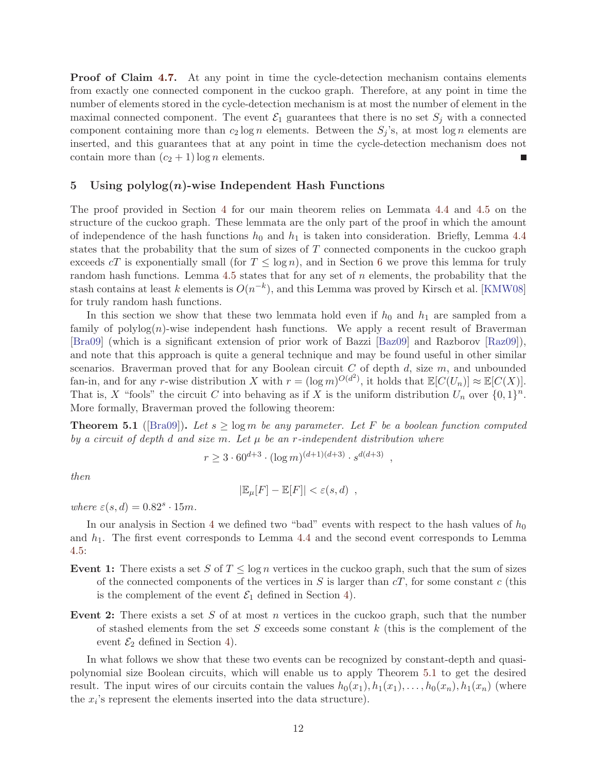<span id="page-12-2"></span>**Proof of Claim [4.7.](#page-11-2)** At any point in time the cycle-detection mechanism contains elements from exactly one connected component in the cuckoo graph. Therefore, at any point in time the number of elements stored in the cycle-detection mechanism is at most the number of element in the maximal connected component. The event  $\mathcal{E}_1$  guarantees that there is no set  $S_i$  with a connected component containing more than  $c_2 \log n$  elements. Between the  $S_j$ 's, at most  $\log n$  elements are inserted, and this guarantees that at any point in time the cycle-detection mechanism does not contain more than  $(c_2 + 1) \log n$  elements.

#### <span id="page-12-0"></span>5 Using  $\text{polylog}(n)$ -wise Independent Hash Functions

The proof provided in Section [4](#page-10-0) for our main theorem relies on Lemmata [4.4](#page-10-2) and [4.5](#page-11-0) on the structure of the cuckoo graph. These lemmata are the only part of the proof in which the amount of independence of the hash functions  $h_0$  and  $h_1$  is taken into consideration. Briefly, Lemma [4.4](#page-10-2) states that the probability that the sum of sizes of  $T$  connected components in the cuckoo graph exceeds cT is exponentially small (for  $T \leq \log n$ ), and in Section [6](#page-13-0) we prove this lemma for truly random hash functions. Lemma [4.5](#page-11-0) states that for any set of n elements, the probability that the stash contains at least k elements is  $O(n^{-k})$ , and this Lemma was proved by Kirsch et al. [\[KMW08\]](#page-21-6) for truly random hash functions.

In this section we show that these two lemmata hold even if  $h_0$  and  $h_1$  are sampled from a family of  $polylog(n)$ -wise independent hash functions. We apply a recent result of Braverman [\[Bra09\]](#page-20-3) (which is a significant extension of prior work of Bazzi [\[Baz09\]](#page-20-5) and Razborov [\[Raz09\]](#page-22-11)), and note that this approach is quite a general technique and may be found useful in other similar scenarios. Braverman proved that for any Boolean circuit  $C$  of depth  $d$ , size  $m$ , and unbounded fan-in, and for any r-wise distribution X with  $r = (\log m)^{O(d^2)}$ , it holds that  $\mathbb{E}[C(U_n)] \approx \mathbb{E}[C(X)]$ . That is, X "fools" the circuit C into behaving as if X is the uniform distribution  $U_n$  over  $\{0,1\}^n$ . More formally, Braverman proved the following theorem:

<span id="page-12-1"></span>**Theorem 5.1** ([\[Bra09\]](#page-20-3)). Let  $s \geq \log m$  be any parameter. Let F be a boolean function computed by a circuit of depth  $d$  and size  $m$ . Let  $\mu$  be an r-independent distribution where

 $r \geq 3 \cdot 60^{d+3} \cdot (\log m)^{(d+1)(d+3)} \cdot s^{d(d+3)}$ ,

then

$$
|\mathbb{E}_{\mu}[F] - \mathbb{E}[F]| < \varepsilon(s, d) \enspace,
$$

where  $\varepsilon(s, d) = 0.82^s \cdot 15m$ .

In our analysis in Section [4](#page-10-0) we defined two "bad" events with respect to the hash values of  $h_0$ and  $h_1$ . The first event corresponds to Lemma [4.4](#page-10-2) and the second event corresponds to Lemma [4.5:](#page-11-0)

- Event 1: There exists a set S of  $T \le \log n$  vertices in the cuckoo graph, such that the sum of sizes of the connected components of the vertices in S is larger than  $cT$ , for some constant c (this is the complement of the event  $\mathcal{E}_1$  defined in Section [4\)](#page-10-0).
- Event 2: There exists a set S of at most n vertices in the cuckoo graph, such that the number of stashed elements from the set S exceeds some constant  $k$  (this is the complement of the event  $\mathcal{E}_2$  defined in Section [4\)](#page-10-0).

In what follows we show that these two events can be recognized by constant-depth and quasipolynomial size Boolean circuits, which will enable us to apply Theorem [5.1](#page-12-1) to get the desired result. The input wires of our circuits contain the values  $h_0(x_1), h_1(x_1), \ldots, h_0(x_n), h_1(x_n)$  (where the  $x_i$ 's represent the elements inserted into the data structure).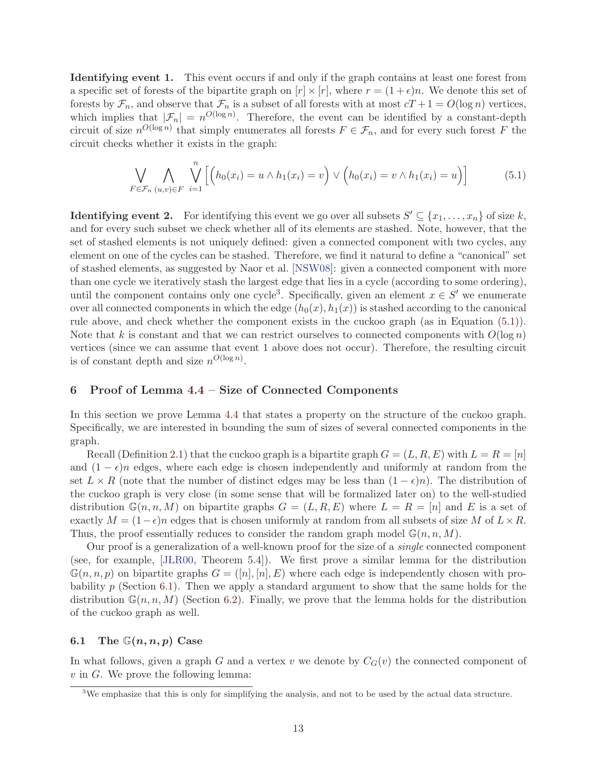<span id="page-13-4"></span>Identifying event 1. This event occurs if and only if the graph contains at least one forest from a specific set of forests of the bipartite graph on  $[r] \times [r]$ , where  $r = (1 + \epsilon)n$ . We denote this set of forests by  $\mathcal{F}_n$ , and observe that  $\mathcal{F}_n$  is a subset of all forests with at most  $cT + 1 = O(\log n)$  vertices, which implies that  $|\mathcal{F}_n| = n^{O(\log n)}$ . Therefore, the event can be identified by a constant-depth circuit of size  $n^{O(\log n)}$  that simply enumerates all forests  $F \in \mathcal{F}_n$ , and for every such forest F the circuit checks whether it exists in the graph:

<span id="page-13-2"></span>
$$
\bigvee_{F \in \mathcal{F}_n} \bigwedge_{(u,v) \in F} \bigvee_{i=1}^n \Big[ \Big( h_0(x_i) = u \wedge h_1(x_i) = v \Big) \vee \Big( h_0(x_i) = v \wedge h_1(x_i) = u \Big) \Big] \tag{5.1}
$$

**Identifying event 2.** For identifying this event we go over all subsets  $S' \subseteq \{x_1, \ldots, x_n\}$  of size k, and for every such subset we check whether all of its elements are stashed. Note, however, that the set of stashed elements is not uniquely defined: given a connected component with two cycles, any element on one of the cycles can be stashed. Therefore, we find it natural to define a "canonical" set of stashed elements, as suggested by Naor et al. [\[NSW08\]](#page-22-5): given a connected component with more than one cycle we iteratively stash the largest edge that lies in a cycle (according to some ordering), until the component contains only one cycle<sup>[3](#page-13-1)</sup>. Specifically, given an element  $x \in S'$  we enumerate over all connected components in which the edge  $(h_0(x), h_1(x))$  is stashed according to the canonical rule above, and check whether the component exists in the cuckoo graph (as in Equation [\(5.1\)](#page-13-2)). Note that k is constant and that we can restrict ourselves to connected components with  $O(\log n)$ vertices (since we can assume that event 1 above does not occur). Therefore, the resulting circuit is of constant depth and size  $n^{O(\log n)}$ .

#### <span id="page-13-0"></span>6 Proof of Lemma [4.4](#page-10-2) – Size of Connected Components

In this section we prove Lemma [4.4](#page-10-2) that states a property on the structure of the cuckoo graph. Specifically, we are interested in bounding the sum of sizes of several connected components in the graph.

Recall (Definition [2.1\)](#page-5-0) that the cuckoo graph is a bipartite graph  $G = (L, R, E)$  with  $L = R = [n]$ and  $(1 - \epsilon)n$  edges, where each edge is chosen independently and uniformly at random from the set  $L \times R$  (note that the number of distinct edges may be less than  $(1 - \epsilon)n$ ). The distribution of the cuckoo graph is very close (in some sense that will be formalized later on) to the well-studied distribution  $\mathbb{G}(n, n, M)$  on bipartite graphs  $G = (L, R, E)$  where  $L = R = [n]$  and E is a set of exactly  $M = (1 - \epsilon)n$  edges that is chosen uniformly at random from all subsets of size M of  $L \times R$ . Thus, the proof essentially reduces to consider the random graph model  $\mathbb{G}(n, n, M)$ .

Our proof is a generalization of a well-known proof for the size of a single connected component (see, for example,  $[JLR00, Theorem 5.4]$ ). We first prove a similar lemma for the distribution  $\mathbb{G}(n, n, p)$  on bipartite graphs  $G = ([n], [n], E)$  where each edge is independently chosen with probability  $p$  (Section [6.1\)](#page-13-3). Then we apply a standard argument to show that the same holds for the distribution  $\mathbb{G}(n, n, M)$  (Section [6.2\)](#page-16-0). Finally, we prove that the lemma holds for the distribution of the cuckoo graph as well.

## <span id="page-13-3"></span>6.1 The  $\mathbb{G}(n,n,p)$  Case

In what follows, given a graph G and a vertex  $v$  we denote by  $C_G(v)$  the connected component of  $v$  in  $G$ . We prove the following lemma:

<span id="page-13-1"></span><sup>&</sup>lt;sup>3</sup>We emphasize that this is only for simplifying the analysis, and not to be used by the actual data structure.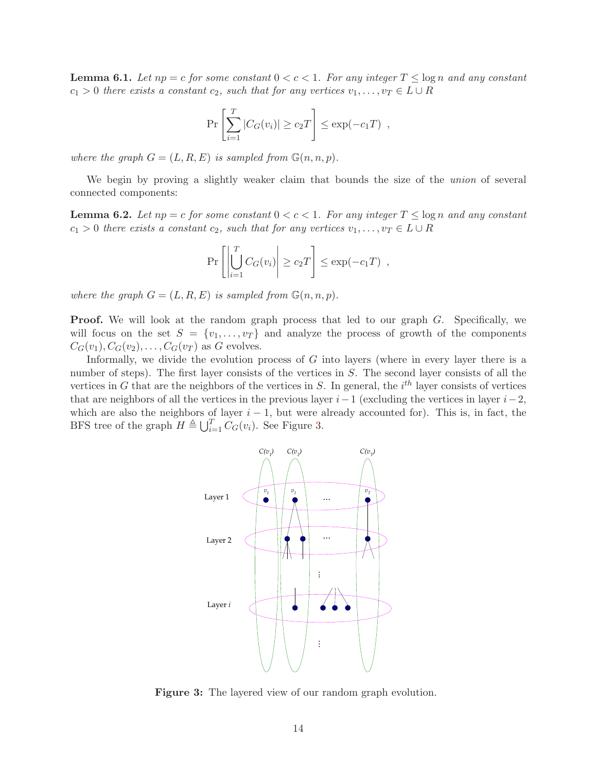<span id="page-14-1"></span>**Lemma 6.1.** Let  $np = c$  for some constant  $0 < c < 1$ . For any integer  $T \leq \log n$  and any constant  $c_1 > 0$  there exists a constant  $c_2$ , such that for any vertices  $v_1, \ldots, v_T \in L \cup R$ 

$$
\Pr\left[\sum_{i=1}^T |C_G(v_i)| \ge c_2 T\right] \le \exp(-c_1 T) ,
$$

where the graph  $G = (L, R, E)$  is sampled from  $\mathbb{G}(n, n, p)$ .

We begin by proving a slightly weaker claim that bounds the size of the *union* of several connected components:

<span id="page-14-2"></span>**Lemma 6.2.** Let  $np = c$  for some constant  $0 < c < 1$ . For any integer  $T \leq \log n$  and any constant  $c_1 > 0$  there exists a constant  $c_2$ , such that for any vertices  $v_1, \ldots, v_T \in L \cup R$ 

$$
\Pr\left[\left|\bigcup_{i=1}^T C_G(v_i)\right| \ge c_2 T\right] \le \exp(-c_1 T) ,
$$

where the graph  $G = (L, R, E)$  is sampled from  $\mathbb{G}(n, n, p)$ .

**Proof.** We will look at the random graph process that led to our graph G. Specifically, we will focus on the set  $S = \{v_1, \ldots, v_T\}$  and analyze the process of growth of the components  $C_G(v_1), C_G(v_2), \ldots, C_G(v_T)$  as G evolves.

<span id="page-14-0"></span>Informally, we divide the evolution process of G into layers (where in every layer there is a number of steps). The first layer consists of the vertices in S. The second layer consists of all the vertices in G that are the neighbors of the vertices in S. In general, the  $i<sup>th</sup>$  layer consists of vertices that are neighbors of all the vertices in the previous layer  $i-1$  (excluding the vertices in layer  $i-2$ , which are also the neighbors of layer  $i - 1$ , but were already accounted for). This is, in fact, the which are also the neighbors of<br>BFS tree of the graph  $H \triangleq \bigcup_{i=1}^{T}$  $_{i=1}^{T}C_{G}(v_{i}).$  See Figure [3.](#page-14-0)



Figure 3: The layered view of our random graph evolution.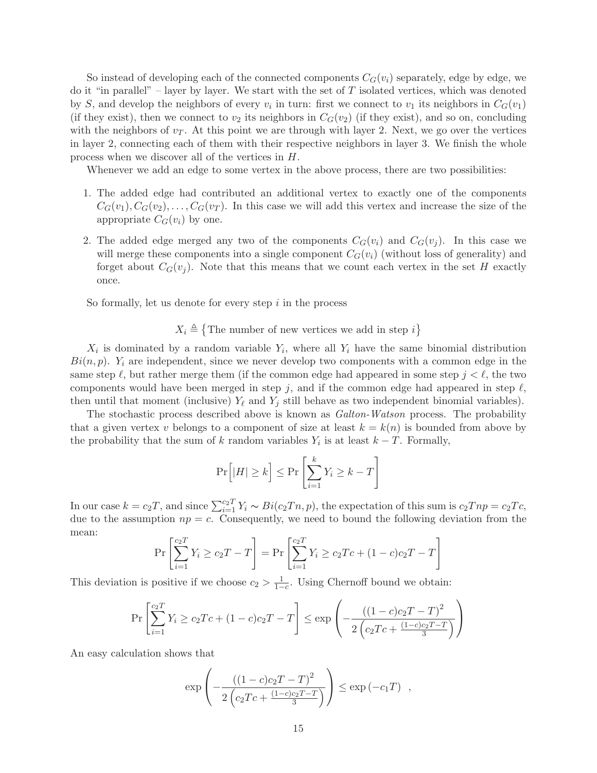So instead of developing each of the connected components  $C_G(v_i)$  separately, edge by edge, we do it "in parallel" – layer by layer. We start with the set of  $T$  isolated vertices, which was denoted by S, and develop the neighbors of every  $v_i$  in turn: first we connect to  $v_1$  its neighbors in  $C_G(v_1)$ (if they exist), then we connect to  $v_2$  its neighbors in  $C_G(v_2)$  (if they exist), and so on, concluding with the neighbors of  $v<sub>T</sub>$ . At this point we are through with layer 2. Next, we go over the vertices in layer 2, connecting each of them with their respective neighbors in layer 3. We finish the whole process when we discover all of the vertices in H.

Whenever we add an edge to some vertex in the above process, there are two possibilities:

- 1. The added edge had contributed an additional vertex to exactly one of the components  $C_G(v_1), C_G(v_2), \ldots, C_G(v_T)$ . In this case we will add this vertex and increase the size of the appropriate  $C_G(v_i)$  by one.
- 2. The added edge merged any two of the components  $C_G(v_i)$  and  $C_G(v_j)$ . In this case we will merge these components into a single component  $C_G(v_i)$  (without loss of generality) and forget about  $C_G(v_i)$ . Note that this means that we count each vertex in the set H exactly once.

So formally, let us denote for every step  $i$  in the process

 $X_i \triangleq$  $\overline{a}$ The number of new vertices we add in step  $i$ ª

 $X_i$  is dominated by a random variable  $Y_i$ , where all  $Y_i$  have the same binomial distribution  $Bi(n, p)$ .  $Y_i$  are independent, since we never develop two components with a common edge in the same step  $\ell$ , but rather merge them (if the common edge had appeared in some step  $j < \ell$ , the two components would have been merged in step j, and if the common edge had appeared in step  $\ell$ , then until that moment (inclusive)  $Y_\ell$  and  $Y_j$  still behave as two independent binomial variables).

The stochastic process described above is known as *Galton-Watson* process. The probability that a given vertex v belongs to a component of size at least  $k = k(n)$  is bounded from above by the probability that the sum of k random variables  $Y_i$  is at least  $k - T$ . Formally,

$$
\Pr\Big[|H| \ge k\Big] \le \Pr\left[\sum_{i=1}^k Y_i \ge k - T\right]
$$

In our case  $k = c_2T$ , and since  $\sum_{i=1}^{c_2T} Y_i \sim Bi(c_2Tn, p)$ , the expectation of this sum is  $c_2Tnp = c_2Tc$ , due to the assumption  $np = c$ . Consequently, we need to bound the following deviation from the mean: # #

$$
\Pr\left[\sum_{i=1}^{c_2 T} Y_i \ge c_2 T - T\right] = \Pr\left[\sum_{i=1}^{c_2 T} Y_i \ge c_2 T c + (1 - c)c_2 T - T\right]
$$

This deviation is positive if we choose  $c_2 > \frac{1}{1-z}$  $\frac{1}{1-c}$ . Using Chernoff bound we obtain:

$$
\Pr\left[\sum_{i=1}^{c_2 T} Y_i \ge c_2 T c + (1-c)c_2 T - T\right] \le \exp\left(-\frac{((1-c)c_2 T - T)^2}{2\left(c_2 T c + \frac{(1-c)c_2 T - T}{3}\right)}\right)
$$

An easy calculation shows that

$$
\exp\left(-\frac{((1-c)c_2T-T)^2}{2\left(c_2Tc+\frac{(1-c)c_2T-T}{3}\right)}\right) \le \exp(-c_1T) ,
$$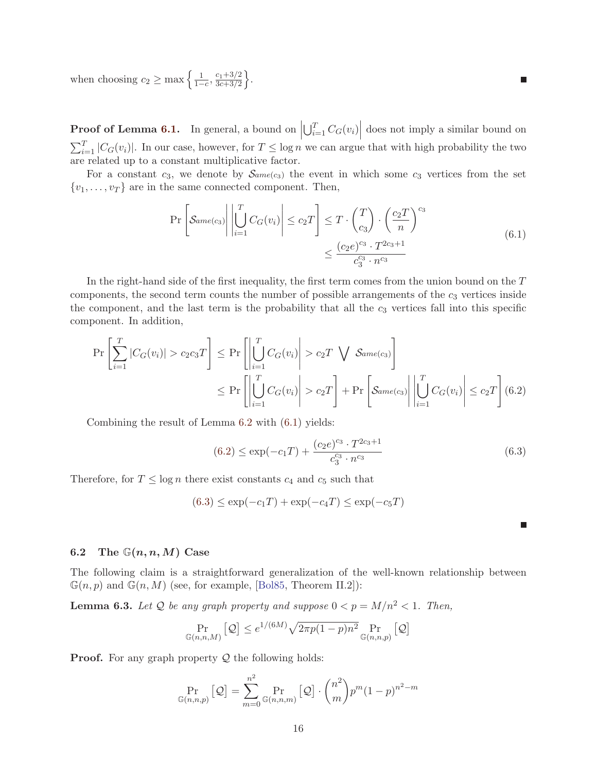<span id="page-16-5"></span>when choosing  $c_2 \geq \max\left\{\frac{1}{1-\epsilon}\right\}$  $\frac{1}{1-c}$ ,  $\frac{c_1+3/2}{3c+3/2}$  $3c+3/2$ o .

**Proof of Lemma [6.1.](#page-14-1)** In general, a bound on  $\bigcup_{i=1}^T$  $_{i=1}^{T} C_G(v_i)$  $\vert$  does not imply a similar bound on  $\overline{\smash{\bigtriangledown^T}}$  $\sum_{i=1}^{T} |C_G(v_i)|$ . In our case, however, for  $T \leq \log n$  we can argue that with high probability the two are related up to a constant multiplicative factor.

For a constant  $c_3$ , we denote by  $\mathcal{S}_{ame(c_3)}$  the event in which some  $c_3$  vertices from the set  $\{v_1, \ldots, v_T\}$  are in the same connected component. Then,

$$
\Pr\left[\mathcal{S}_{ame(c_3)} \middle| \left| \bigcup_{i=1}^T C_G(v_i) \right| \le c_2 T \right] \le T \cdot {T \choose c_3} \cdot \left(\frac{c_2 T}{n}\right)^{c_3} \le \frac{(c_2 e)^{c_3} \cdot T^{2c_3 + 1}}{c_3^{c_3} \cdot n^{c_3}} \tag{6.1}
$$

<span id="page-16-1"></span>In the right-hand side of the first inequality, the first term comes from the union bound on the T components, the second term counts the number of possible arrangements of the  $c_3$  vertices inside the component, and the last term is the probability that all the  $c_3$  vertices fall into this specific component. In addition,

<span id="page-16-2"></span>
$$
\Pr\left[\sum_{i=1}^{T} |C_G(v_i)| > c_2 c_3 T\right] \le \Pr\left[\left|\bigcup_{i=1}^{T} C_G(v_i)\right| > c_2 T \bigvee \mathcal{S}_{ame(c_3)}\right]
$$

$$
\le \Pr\left[\left|\bigcup_{i=1}^{T} C_G(v_i)\right| > c_2 T\right] + \Pr\left[\mathcal{S}_{ame(c_3)}\right] \left|\bigcup_{i=1}^{T} C_G(v_i)\right| \le c_2 T\right] (6.2)
$$

Combining the result of Lemma [6.2](#page-14-2) with [\(6.1\)](#page-16-1) yields:

<span id="page-16-3"></span>
$$
(6.2) \le \exp(-c_1 T) + \frac{(c_2 e)^{c_3} \cdot T^{2c_3 + 1}}{c_3^{c_3} \cdot n^{c_3}} \tag{6.3}
$$

г

Therefore, for  $T \leq \log n$  there exist constants  $c_4$  and  $c_5$  such that

$$
(6.3) \le \exp(-c_1 T) + \exp(-c_4 T) \le \exp(-c_5 T)
$$

#### <span id="page-16-0"></span>6.2 The  $\mathbb{G}(n, n, M)$  Case

The following claim is a straightforward generalization of the well-known relationship between  $\mathbb{G}(n, p)$  and  $\mathbb{G}(n, M)$  (see, for example, [\[Bol85,](#page-20-6) Theorem II.2]):

<span id="page-16-4"></span>**Lemma 6.3.** Let Q be any graph property and suppose  $0 < p = M/n^2 < 1$ . Then,

$$
\Pr_{\mathbb{G}(n,n,M)}\left[\mathcal{Q}\right] \leq e^{1/(6M)}\sqrt{2\pi p(1-p)n^2} \Pr_{\mathbb{G}(n,n,p)}\left[\mathcal{Q}\right]
$$

**Proof.** For any graph property  $Q$  the following holds:

$$
\Pr_{\mathbb{G}(n,n,p)}\left[\mathcal{Q}\right] = \sum_{m=0}^{n^2} \Pr_{\mathbb{G}(n,n,m)}\left[\mathcal{Q}\right] \cdot \binom{n^2}{m} p^m (1-p)^{n^2-m}
$$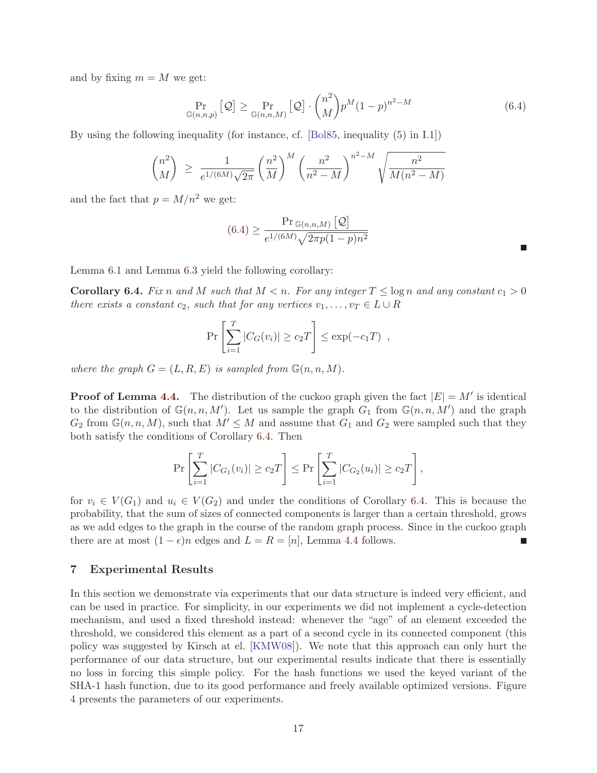<span id="page-17-3"></span>and by fixing  $m = M$  we get:

<span id="page-17-1"></span>
$$
\Pr_{\mathbb{G}(n,n,p)}\left[\mathcal{Q}\right] \ge \Pr_{\mathbb{G}(n,n,M)}\left[\mathcal{Q}\right] \cdot \binom{n^2}{M} p^M (1-p)^{n^2-M} \tag{6.4}
$$

By using the following inequality (for instance, cf. [\[Bol85,](#page-20-6) inequality (5) in I.1])

$$
\binom{n^2}{M} \ \geq \ \frac{1}{e^{1/(6M)}\sqrt{2\pi}} \left(\frac{n^2}{M}\right)^M \left(\frac{n^2}{n^2 - M}\right)^{n^2 - M} \sqrt{\frac{n^2}{M(n^2 - M)}}
$$

and the fact that  $p = M/n^2$  we get:

$$
(6.4) \ge \frac{\Pr_{\mathbb{G}(n,n,M)}[\mathcal{Q}]}{e^{1/(6M)}\sqrt{2\pi p(1-p)n^2}}
$$

Lemma [6.1](#page-14-1) and Lemma [6.3](#page-16-4) yield the following corollary:

<span id="page-17-2"></span>**Corollary 6.4.** Fix n and M such that  $M < n$ . For any integer  $T \leq \log n$  and any constant  $c_1 > 0$ there exists a constant  $c_2$ , such that for any vertices  $v_1, \ldots, v_T \in L \cup R$ 

$$
\Pr\left[\sum_{i=1}^T |C_G(v_i)| \ge c_2 T\right] \le \exp(-c_1 T) ,
$$

where the graph  $G = (L, R, E)$  is sampled from  $\mathbb{G}(n, n, M)$ .

**Proof of Lemma [4.4.](#page-10-2)** The distribution of the cuckoo graph given the fact  $|E| = M'$  is identical to the distribution of  $\mathbb{G}(n,n,M')$ . Let us sample the graph  $G_1$  from  $\mathbb{G}(n,n,M')$  and the graph  $G_2$  from  $\mathbb{G}(n, n, M)$ , such that  $M' \leq M$  and assume that  $G_1$  and  $G_2$  were sampled such that they both satisfy the conditions of Corollary [6.4.](#page-17-2) Then

$$
\Pr\left[\sum_{i=1}^{T} |C_{G_1}(v_i)| \ge c_2 T\right] \le \Pr\left[\sum_{i=1}^{T} |C_{G_2}(u_i)| \ge c_2 T\right],
$$

for  $v_i \in V(G_1)$  and  $u_i \in V(G_2)$  and under the conditions of Corollary [6.4.](#page-17-2) This is because the probability, that the sum of sizes of connected components is larger than a certain threshold, grows as we add edges to the graph in the course of the random graph process. Since in the cuckoo graph there are at most  $(1 - \epsilon)n$  edges and  $L = R = [n]$ , Lemma [4.4](#page-10-2) follows.

#### <span id="page-17-0"></span>7 Experimental Results

In this section we demonstrate via experiments that our data structure is indeed very efficient, and can be used in practice. For simplicity, in our experiments we did not implement a cycle-detection mechanism, and used a fixed threshold instead: whenever the "age" of an element exceeded the threshold, we considered this element as a part of a second cycle in its connected component (this policy was suggested by Kirsch at el. [\[KMW08\]](#page-21-6)). We note that this approach can only hurt the performance of our data structure, but our experimental results indicate that there is essentially no loss in forcing this simple policy. For the hash functions we used the keyed variant of the SHA-1 hash function, due to its good performance and freely available optimized versions. Figure [4](#page-18-0) presents the parameters of our experiments.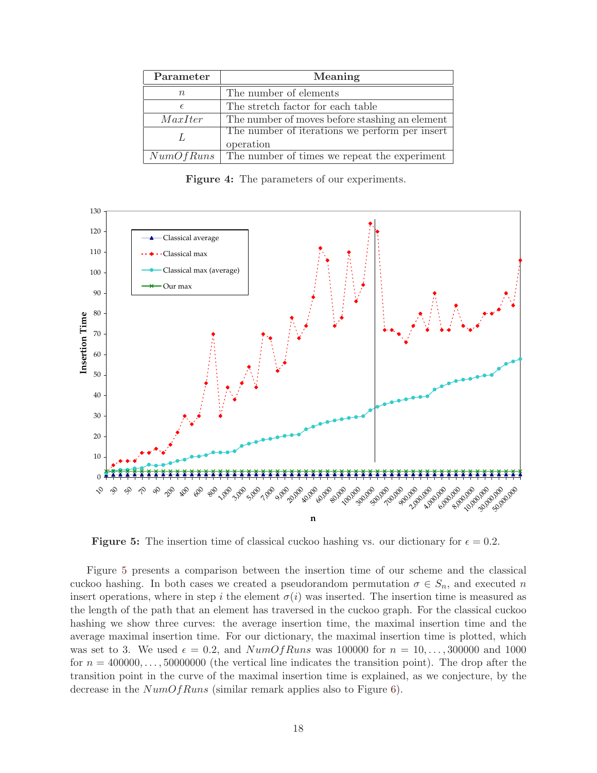<span id="page-18-0"></span>

| Parameter  | Meaning                                                     |
|------------|-------------------------------------------------------------|
| $n_{\rm}$  | The number of elements                                      |
| $\epsilon$ | The stretch factor for each table                           |
| MaxIter    | The number of moves before stashing an element              |
|            | The number of iterations we perform per insert<br>operation |
|            | $NumOfRuns$ The number of times we repeat the experiment    |

Figure 4: The parameters of our experiments.

<span id="page-18-1"></span>

**Figure 5:** The insertion time of classical cuckoo hashing vs. our dictionary for  $\epsilon = 0.2$ .

Figure [5](#page-18-1) presents a comparison between the insertion time of our scheme and the classical cuckoo hashing. In both cases we created a pseudorandom permutation  $\sigma \in S_n$ , and executed n insert operations, where in step i the element  $\sigma(i)$  was inserted. The insertion time is measured as the length of the path that an element has traversed in the cuckoo graph. For the classical cuckoo hashing we show three curves: the average insertion time, the maximal insertion time and the average maximal insertion time. For our dictionary, the maximal insertion time is plotted, which was set to 3. We used  $\epsilon = 0.2$ , and  $NumOfRuns$  was 100000 for  $n = 10, \ldots, 300000$  and 1000 for  $n = 400000, \ldots, 50000000$  (the vertical line indicates the transition point). The drop after the transition point in the curve of the maximal insertion time is explained, as we conjecture, by the decrease in the  $NumOfRuns$  (similar remark applies also to Figure [6\)](#page-19-1).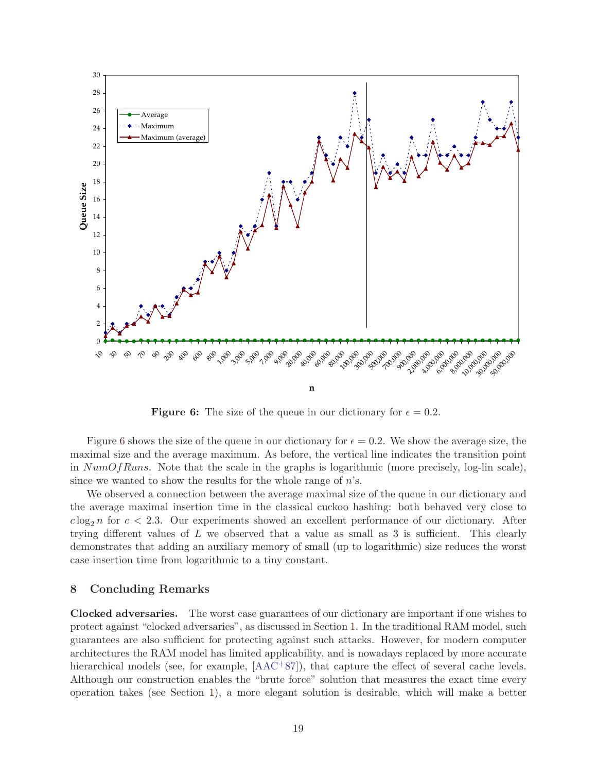<span id="page-19-2"></span><span id="page-19-1"></span>

**Figure 6:** The size of the queue in our dictionary for  $\epsilon = 0.2$ .

Figure [6](#page-19-1) shows the size of the queue in our dictionary for  $\epsilon = 0.2$ . We show the average size, the maximal size and the average maximum. As before, the vertical line indicates the transition point in  $NumOfRuns.$  Note that the scale in the graphs is logarithmic (more precisely, log-lin scale), since we wanted to show the results for the whole range of  $n$ 's.

We observed a connection between the average maximal size of the queue in our dictionary and the average maximal insertion time in the classical cuckoo hashing: both behaved very close to  $c \log_2 n$  for  $c < 2.3$ . Our experiments showed an excellent performance of our dictionary. After trying different values of  $L$  we observed that a value as small as 3 is sufficient. This clearly demonstrates that adding an auxiliary memory of small (up to logarithmic) size reduces the worst case insertion time from logarithmic to a tiny constant.

### <span id="page-19-0"></span>8 Concluding Remarks

Clocked adversaries. The worst case guarantees of our dictionary are important if one wishes to protect against "clocked adversaries", as discussed in Section [1.](#page-1-0) In the traditional RAM model, such guarantees are also sufficient for protecting against such attacks. However, for modern computer architectures the RAM model has limited applicability, and is nowadays replaced by more accurate hierarchical models (see, for example,  $[AAC^+87]$  $[AAC^+87]$ ), that capture the effect of several cache levels. Although our construction enables the "brute force" solution that measures the exact time every operation takes (see Section [1\)](#page-1-0), a more elegant solution is desirable, which will make a better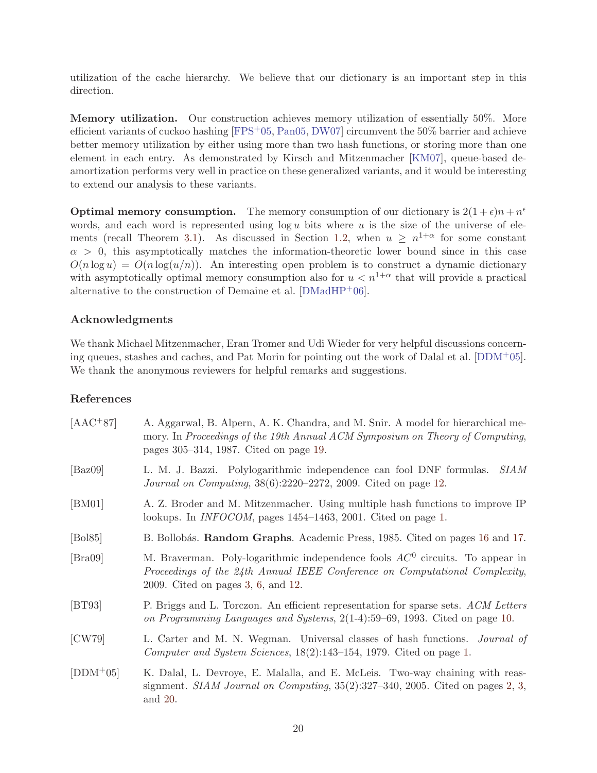<span id="page-20-8"></span>utilization of the cache hierarchy. We believe that our dictionary is an important step in this direction.

Memory utilization. Our construction achieves memory utilization of essentially 50%. More efficient variants of cuckoo hashing  $[{\rm FS}^{+}05, {\rm Pan}05, {\rm DW}07]$  circumvent the 50% barrier and achieve better memory utilization by either using more than two hash functions, or storing more than one element in each entry. As demonstrated by Kirsch and Mitzenmacher [\[KM07\]](#page-21-0), queue-based deamortization performs very well in practice on these generalized variants, and it would be interesting to extend our analysis to these variants.

**Optimal memory consumption.** The memory consumption of our dictionary is  $2(1+\epsilon)n + n^{\epsilon}$ words, and each word is represented using  $\log u$  bits where u is the size of the universe of ele-ments (recall Theorem [3.1\)](#page-7-1). As discussed in Section [1.2,](#page-3-0) when  $u \geq n^{1+\alpha}$  for some constant  $\alpha > 0$ , this asymptotically matches the information-theoretic lower bound since in this case  $O(n \log u) = O(n \log(u/n))$ . An interesting open problem is to construct a dynamic dictionary with asymptotically optimal memory consumption also for  $u < n^{1+\alpha}$  that will provide a practical alternative to the construction of Demaine et al. [\[DMadHP](#page-21-10)+06].

## Acknowledgments

We thank Michael Mitzenmacher, Eran Tromer and Udi Wieder for very helpful discussions concerning queues, stashes and caches, and Pat Morin for pointing out the work of Dalal et al.  $[DDM+05]$  $[DDM+05]$ . We thank the anonymous reviewers for helpful remarks and suggestions.

### References

<span id="page-20-7"></span><span id="page-20-6"></span><span id="page-20-5"></span><span id="page-20-4"></span><span id="page-20-3"></span><span id="page-20-2"></span><span id="page-20-1"></span><span id="page-20-0"></span>

| $[AAC+87]$                  | A. Aggarwal, B. Alpern, A. K. Chandra, and M. Snir. A model for hierarchical me-<br>mory. In Proceedings of the 19th Annual ACM Symposium on Theory of Computing,<br>pages 305–314, 1987. Cited on page 19. |
|-----------------------------|-------------------------------------------------------------------------------------------------------------------------------------------------------------------------------------------------------------|
| $\left[\text{Baz}09\right]$ | L. M. J. Bazzi. Polylogarithmic independence can fool DNF formulas.<br><i>SIAM</i><br><i>Journal on Computing</i> , $38(6):2220-2272$ , 2009. Cited on page 12.                                             |
| [BM01]                      | A. Z. Broder and M. Mitzenmacher. Using multiple hash functions to improve IP<br>lookups. In <i>INFOCOM</i> , pages 1454–1463, 2001. Cited on page 1.                                                       |
| [Bo185]                     | B. Bollobás. Random Graphs. Academic Press, 1985. Cited on pages 16 and 17.                                                                                                                                 |
| $\left[\text{Bra}09\right]$ | M. Braverman. Poly-logarithmic independence fools $AC^0$ circuits. To appear in<br>Proceedings of the 24th Annual IEEE Conference on Computational Complexity,<br>$2009.$ Cited on pages 3, 6, and 12.      |
| [BT93]                      | P. Briggs and L. Torczon. An efficient representation for sparse sets. ACM Letters<br>on Programming Languages and Systems, 2(1-4):59–69, 1993. Cited on page 10.                                           |
| [CW79]                      | L. Carter and M. N. Wegman. Universal classes of hash functions. Journal of<br>Computer and System Sciences, $18(2):143-154$ , 1979. Cited on page 1.                                                       |
| $[DDM+05]$                  | K. Dalal, L. Devroye, E. Malalla, and E. McLeis. Two-way chaining with reas-<br>signment. <i>SIAM Journal on Computing</i> , $35(2)$ : $327-340$ , $2005$ . Cited on pages 2, 3,<br>and $20$ .              |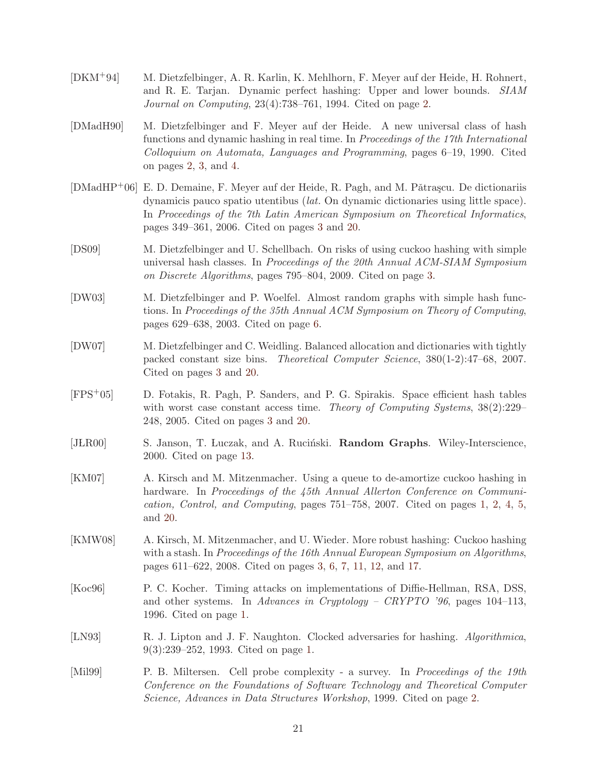- <span id="page-21-4"></span>[DKM+94] M. Dietzfelbinger, A. R. Karlin, K. Mehlhorn, F. Meyer auf der Heide, H. Rohnert, and R. E. Tarjan. Dynamic perfect hashing: Upper and lower bounds. SIAM Journal on Computing, 23(4):738–761, 1994. Cited on page [2.](#page-2-2)
- <span id="page-21-3"></span>[DMadH90] M. Dietzfelbinger and F. Meyer auf der Heide. A new universal class of hash functions and dynamic hashing in real time. In *Proceedings of the 17th International* Colloquium on Automata, Languages and Programming, pages 6–19, 1990. Cited on pages [2,](#page-2-2) [3,](#page-3-1) and [4.](#page-4-1)
- <span id="page-21-10"></span>[DMadHP<sup>+</sup>06] E. D. Demaine, F. Meyer auf der Heide, R. Pagh, and M. Pǎtraşcu. De dictionariis dynamicis pauco spatio utentibus (lat. On dynamic dictionaries using little space). In Proceedings of the 7th Latin American Symposium on Theoretical Informatics, pages 349–361, 2006. Cited on pages [3](#page-3-1) and [20.](#page-20-8)
- <span id="page-21-9"></span>[DS09] M. Dietzfelbinger and U. Schellbach. On risks of using cuckoo hashing with simple universal hash classes. In Proceedings of the 20th Annual  $ACM-SIAM$  Symposium on Discrete Algorithms, pages 795–804, 2009. Cited on page [3.](#page-3-1)
- <span id="page-21-11"></span>[DW03] M. Dietzfelbinger and P. Woelfel. Almost random graphs with simple hash functions. In Proceedings of the 35th Annual ACM Symposium on Theory of Computing, pages 629–638, 2003. Cited on page [6.](#page-6-0)
- <span id="page-21-8"></span>[DW07] M. Dietzfelbinger and C. Weidling. Balanced allocation and dictionaries with tightly packed constant size bins. Theoretical Computer Science, 380(1-2):47–68, 2007. Cited on pages [3](#page-3-1) and [20.](#page-20-8)
- <span id="page-21-7"></span>[FPS+05] D. Fotakis, R. Pagh, P. Sanders, and P. G. Spirakis. Space efficient hash tables with worst case constant access time. Theory of Computing Systems,  $38(2):229-$ 248, 2005. Cited on pages [3](#page-3-1) and [20.](#page-20-8)
- <span id="page-21-12"></span>[JLR00] S. Janson, T. Łuczak, and A. Ruciński. Random Graphs. Wiley-Interscience, 2000. Cited on page [13.](#page-13-4)
- <span id="page-21-0"></span>[KM07] A. Kirsch and M. Mitzenmacher. Using a queue to de-amortize cuckoo hashing in hardware. In Proceedings of the 45th Annual Allerton Conference on Communication, Control, and Computing, pages 751–758, 2007. Cited on pages [1,](#page-1-1) [2,](#page-2-2) [4,](#page-4-1) [5,](#page-5-1) and [20.](#page-20-8)
- <span id="page-21-6"></span>[KMW08] A. Kirsch, M. Mitzenmacher, and U. Wieder. More robust hashing: Cuckoo hashing with a stash. In Proceedings of the 16th Annual European Symposium on Algorithms, pages 611–622, 2008. Cited on pages [3,](#page-3-1) [6,](#page-6-0) [7,](#page-7-2) [11,](#page-11-3) [12,](#page-12-2) and [17.](#page-17-3)
- <span id="page-21-2"></span>[Koc96] P. C. Kocher. Timing attacks on implementations of Diffie-Hellman, RSA, DSS, and other systems. In Advances in Cryptology – CRYPTO '96, pages  $104-113$ , 1996. Cited on page [1.](#page-1-1)
- <span id="page-21-1"></span>[LN93] R. J. Lipton and J. F. Naughton. Clocked adversaries for hashing. Algorithmica, 9(3):239–252, 1993. Cited on page [1.](#page-1-1)
- <span id="page-21-5"></span>[Mil99] P. B. Miltersen. Cell probe complexity - a survey. In Proceedings of the 19th Conference on the Foundations of Software Technology and Theoretical Computer Science, Advances in Data Structures Workshop, 1999. Cited on page [2.](#page-2-2)